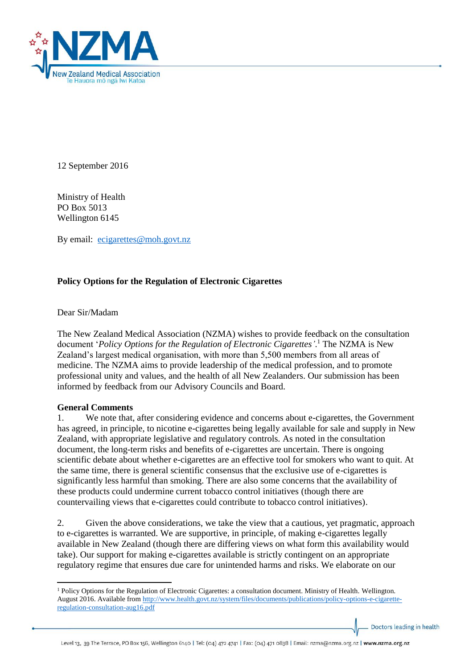

12 September 2016

Ministry of Health PO Box 5013 Wellington 6145

By email: [ecigarettes@moh.govt.nz](mailto:ecigarettes@moh.govt.nz)

# **Policy Options for the Regulation of Electronic Cigarettes**

Dear Sir/Madam

The New Zealand Medical Association (NZMA) wishes to provide feedback on the consultation document '*Policy Options for the Regulation of Electronic Cigarettes'*. <sup>1</sup> The NZMA is New Zealand's largest medical organisation, with more than 5,500 members from all areas of medicine. The NZMA aims to provide leadership of the medical profession, and to promote professional unity and values, and the health of all New Zealanders. Our submission has been informed by feedback from our Advisory Councils and Board.

#### **General Comments**

 $\overline{a}$ 

1. We note that, after considering evidence and concerns about e-cigarettes, the Government has agreed, in principle, to nicotine e-cigarettes being legally available for sale and supply in New Zealand, with appropriate legislative and regulatory controls. As noted in the consultation document, the long-term risks and benefits of e-cigarettes are uncertain. There is ongoing scientific debate about whether e-cigarettes are an effective tool for smokers who want to quit. At the same time, there is general scientific consensus that the exclusive use of e-cigarettes is significantly less harmful than smoking. There are also some concerns that the availability of these products could undermine current tobacco control initiatives (though there are countervailing views that e-cigarettes could contribute to tobacco control initiatives).

2. Given the above considerations, we take the view that a cautious, yet pragmatic, approach to e-cigarettes is warranted. We are supportive, in principle, of making e-cigarettes legally available in New Zealand (though there are differing views on what form this availability would take). Our support for making e-cigarettes available is strictly contingent on an appropriate regulatory regime that ensures due care for unintended harms and risks. We elaborate on our

Doctors leading in health

<sup>1</sup> Policy Options for the Regulation of Electronic Cigarettes: a consultation document. Ministry of Health. Wellington. August 2016. Available fro[m http://www.health.govt.nz/system/files/documents/publications/policy-options-e-cigarette](http://www.health.govt.nz/system/files/documents/publications/policy-options-e-cigarette-regulation-consultation-aug16.pdf)[regulation-consultation-aug16.pdf](http://www.health.govt.nz/system/files/documents/publications/policy-options-e-cigarette-regulation-consultation-aug16.pdf)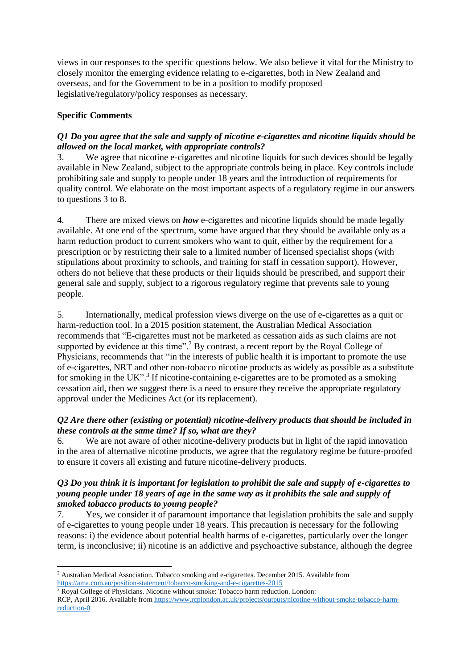views in our responses to the specific questions below. We also believe it vital for the Ministry to closely monitor the emerging evidence relating to e-cigarettes, both in New Zealand and overseas, and for the Government to be in a position to modify proposed legislative/regulatory/policy responses as necessary.

# **Specific Comments**

1

# *Q1 Do you agree that the sale and supply of nicotine e-cigarettes and nicotine liquids should be allowed on the local market, with appropriate controls?*

3. We agree that nicotine e-cigarettes and nicotine liquids for such devices should be legally available in New Zealand, subject to the appropriate controls being in place. Key controls include prohibiting sale and supply to people under 18 years and the introduction of requirements for quality control. We elaborate on the most important aspects of a regulatory regime in our answers to questions 3 to 8.

4. There are mixed views on *how* e-cigarettes and nicotine liquids should be made legally available. At one end of the spectrum, some have argued that they should be available only as a harm reduction product to current smokers who want to quit, either by the requirement for a prescription or by restricting their sale to a limited number of licensed specialist shops (with stipulations about proximity to schools, and training for staff in cessation support). However, others do not believe that these products or their liquids should be prescribed, and support their general sale and supply, subject to a rigorous regulatory regime that prevents sale to young people.

5. Internationally, medical profession views diverge on the use of e-cigarettes as a quit or harm-reduction tool. In a 2015 position statement, the Australian Medical Association recommends that "E-cigarettes must not be marketed as cessation aids as such claims are not supported by evidence at this time".<sup>2</sup> By contrast, a recent report by the Royal College of Physicians, recommends that "in the interests of public health it is important to promote the use of e-cigarettes, NRT and other non-tobacco nicotine products as widely as possible as a substitute for smoking in the UK".<sup>3</sup> If nicotine-containing e-cigarettes are to be promoted as a smoking cessation aid, then we suggest there is a need to ensure they receive the appropriate regulatory approval under the Medicines Act (or its replacement).

# *Q2 Are there other (existing or potential) nicotine-delivery products that should be included in these controls at the same time? If so, what are they?*

6. We are not aware of other nicotine-delivery products but in light of the rapid innovation in the area of alternative nicotine products, we agree that the regulatory regime be future-proofed to ensure it covers all existing and future nicotine-delivery products.

#### *Q3 Do you think it is important for legislation to prohibit the sale and supply of e-cigarettes to young people under 18 years of age in the same way as it prohibits the sale and supply of smoked tobacco products to young people?*

7. Yes, we consider it of paramount importance that legislation prohibits the sale and supply of e-cigarettes to young people under 18 years. This precaution is necessary for the following reasons: i) the evidence about potential health harms of e-cigarettes, particularly over the longer term, is inconclusive; ii) nicotine is an addictive and psychoactive substance, although the degree

<sup>2</sup> Australian Medical Association. Tobacco smoking and e-cigarettes. December 2015. Available from <https://ama.com.au/position-statement/tobacco-smoking-and-e-cigarettes-2015>

<sup>&</sup>lt;sup>3</sup> Royal College of Physicians. Nicotine without smoke: Tobacco harm reduction. London: RCP, April 2016. Available from [https://www.rcplondon.ac.uk/projects/outputs/nicotine-without-smoke-tobacco-harm](https://www.rcplondon.ac.uk/projects/outputs/nicotine-without-smoke-tobacco-harm-reduction-0)[reduction-0](https://www.rcplondon.ac.uk/projects/outputs/nicotine-without-smoke-tobacco-harm-reduction-0)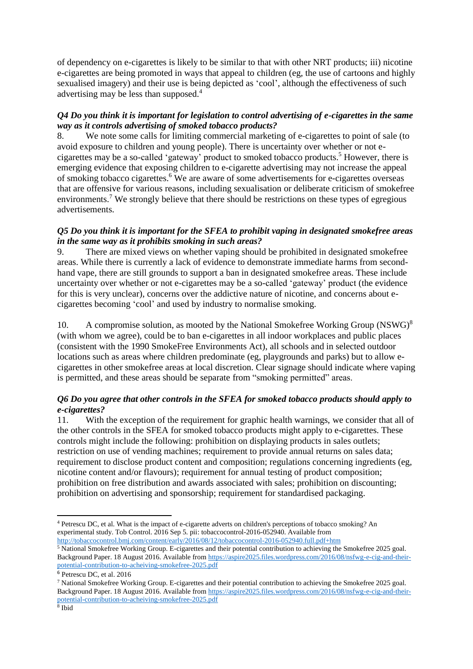of dependency on e-cigarettes is likely to be similar to that with other NRT products; iii) nicotine e-cigarettes are being promoted in ways that appeal to children (eg, the use of cartoons and highly sexualised imagery) and their use is being depicted as 'cool', although the effectiveness of such advertising may be less than supposed.<sup>4</sup>

#### *Q4 Do you think it is important for legislation to control advertising of e-cigarettes in the same way as it controls advertising of smoked tobacco products?*

8. We note some calls for limiting commercial marketing of e-cigarettes to point of sale (to avoid exposure to children and young people). There is uncertainty over whether or not ecigarettes may be a so-called 'gateway' product to smoked tobacco products. <sup>5</sup> However, there is emerging evidence that exposing children to e-cigarette advertising may not increase the appeal of smoking tobacco cigarettes.<sup>6</sup> We are aware of some advertisements for e-cigarettes overseas that are offensive for various reasons, including sexualisation or deliberate criticism of smokefree environments.<sup>7</sup> We strongly believe that there should be restrictions on these types of egregious advertisements.

## *Q5 Do you think it is important for the SFEA to prohibit vaping in designated smokefree areas in the same way as it prohibits smoking in such areas?*

9. There are mixed views on whether vaping should be prohibited in designated smokefree areas. While there is currently a lack of evidence to demonstrate immediate harms from secondhand vape, there are still grounds to support a ban in designated smokefree areas. These include uncertainty over whether or not e-cigarettes may be a so-called 'gateway' product (the evidence for this is very unclear), concerns over the addictive nature of nicotine, and concerns about ecigarettes becoming 'cool' and used by industry to normalise smoking.

10. A compromise solution, as mooted by the National Smokefree Working Group  $(NSWG)^8$ (with whom we agree), could be to ban e-cigarettes in all indoor workplaces and public places (consistent with the 1990 SmokeFree Environments Act), all schools and in selected outdoor locations such as areas where children predominate (eg, playgrounds and parks) but to allow ecigarettes in other smokefree areas at local discretion. Clear signage should indicate where vaping is permitted, and these areas should be separate from "smoking permitted" areas.

# *Q6 Do you agree that other controls in the SFEA for smoked tobacco products should apply to e-cigarettes?*

11. With the exception of the requirement for graphic health warnings, we consider that all of the other controls in the SFEA for smoked tobacco products might apply to e-cigarettes. These controls might include the following: prohibition on displaying products in sales outlets; restriction on use of vending machines; requirement to provide annual returns on sales data; requirement to disclose product content and composition; regulations concerning ingredients (eg, nicotine content and/or flavours); requirement for annual testing of product composition; prohibition on free distribution and awards associated with sales; prohibition on discounting; prohibition on advertising and sponsorship; requirement for standardised packaging.

**.** 

<sup>4</sup> Petrescu DC, et al. What is the impact of e-cigarette adverts on children's perceptions of tobacco smoking? An experimental study. Tob Control. 2016 Sep 5. pii: tobaccocontrol-2016-052940. Available from <http://tobaccocontrol.bmj.com/content/early/2016/08/12/tobaccocontrol-2016-052940.full.pdf+htm>

<sup>5</sup> National Smokefree Working Group. E-cigarettes and their potential contribution to achieving the Smokefree 2025 goal. Background Paper. 18 August 2016. Available from [https://aspire2025.files.wordpress.com/2016/08/nsfwg-e-cig-and-their](https://aspire2025.files.wordpress.com/2016/08/nsfwg-e-cig-and-their-potential-contribution-to-acheiving-smokefree-2025.pdf)[potential-contribution-to-acheiving-smokefree-2025.pdf](https://aspire2025.files.wordpress.com/2016/08/nsfwg-e-cig-and-their-potential-contribution-to-acheiving-smokefree-2025.pdf)

<sup>6</sup> Petrescu DC, et al. 2016

<sup>7</sup> National Smokefree Working Group. E-cigarettes and their potential contribution to achieving the Smokefree 2025 goal. Background Paper. 18 August 2016. Available from [https://aspire2025.files.wordpress.com/2016/08/nsfwg-e-cig-and-their](https://aspire2025.files.wordpress.com/2016/08/nsfwg-e-cig-and-their-potential-contribution-to-acheiving-smokefree-2025.pdf)[potential-contribution-to-acheiving-smokefree-2025.pdf](https://aspire2025.files.wordpress.com/2016/08/nsfwg-e-cig-and-their-potential-contribution-to-acheiving-smokefree-2025.pdf)

<sup>8</sup> Ibid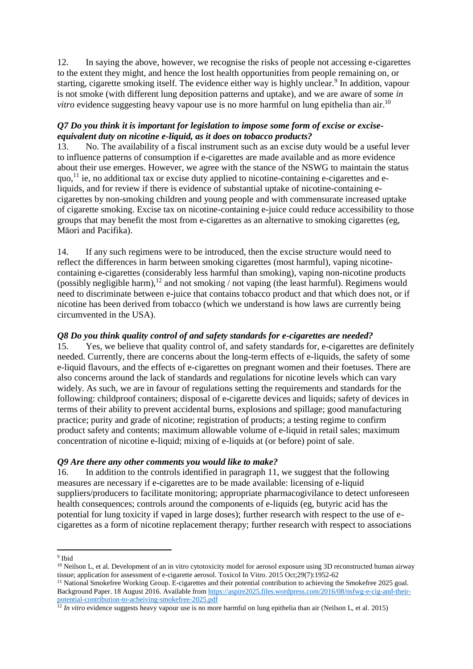12. In saying the above, however, we recognise the risks of people not accessing e-cigarettes to the extent they might, and hence the lost health opportunities from people remaining on, or starting, cigarette smoking itself. The evidence either way is highly unclear.<sup>9</sup> In addition, vapour is not smoke (with different lung deposition patterns and uptake), and we are aware of some *in*  vitro evidence suggesting heavy vapour use is no more harmful on lung epithelia than air.<sup>10</sup>

# *Q7 Do you think it is important for legislation to impose some form of excise or exciseequivalent duty on nicotine e-liquid, as it does on tobacco products?*

13. No. The availability of a fiscal instrument such as an excise duty would be a useful lever to influence patterns of consumption if e-cigarettes are made available and as more evidence about their use emerges. However, we agree with the stance of the NSWG to maintain the status quo,<sup>11</sup> ie, no additional tax or excise duty applied to nicotine-containing e-cigarettes and eliquids, and for review if there is evidence of substantial uptake of nicotine-containing ecigarettes by non-smoking children and young people and with commensurate increased uptake of cigarette smoking. Excise tax on nicotine-containing e-juice could reduce accessibility to those groups that may benefit the most from e-cigarettes as an alternative to smoking cigarettes (eg, Māori and Pacifika).

14. If any such regimens were to be introduced, then the excise structure would need to reflect the differences in harm between smoking cigarettes (most harmful), vaping nicotinecontaining e-cigarettes (considerably less harmful than smoking), vaping non-nicotine products (possibly negligible harm), <sup>12</sup> and not smoking / not vaping (the least harmful). Regimens would need to discriminate between e-juice that contains tobacco product and that which does not, or if nicotine has been derived from tobacco (which we understand is how laws are currently being circumvented in the USA).

#### *Q8 Do you think quality control of and safety standards for e-cigarettes are needed?*

15. Yes, we believe that quality control of, and safety standards for, e-cigarettes are definitely needed. Currently, there are concerns about the long-term effects of e-liquids, the safety of some e-liquid flavours, and the effects of e-cigarettes on pregnant women and their foetuses. There are also concerns around the lack of standards and regulations for nicotine levels which can vary widely. As such, we are in favour of regulations setting the requirements and standards for the following: childproof containers; disposal of e-cigarette devices and liquids; safety of devices in terms of their ability to prevent accidental burns, explosions and spillage; good manufacturing practice; purity and grade of nicotine; registration of products; a testing regime to confirm product safety and contents; maximum allowable volume of e-liquid in retail sales; maximum concentration of nicotine e-liquid; mixing of e-liquids at (or before) point of sale.

### *Q9 Are there any other comments you would like to make?*

16. In addition to the controls identified in paragraph 11, we suggest that the following measures are necessary if e-cigarettes are to be made available: licensing of e-liquid suppliers/producers to facilitate monitoring; appropriate pharmacogivilance to detect unforeseen health consequences; controls around the components of e-liquids (eg, butyric acid has the potential for lung toxicity if vaped in large doses); further research with respect to the use of ecigarettes as a form of nicotine replacement therapy; further research with respect to associations

 9 Ibid

 $10$  Neilson L, et al. Development of an in vitro cytotoxicity model for aerosol exposure using 3D reconstructed human airway tissue; application for assessment of e-cigarette aerosol. Toxicol In Vitro. 2015 Oct;29(7):1952-62

<sup>&</sup>lt;sup>11</sup> National Smokefree Working Group. E-cigarettes and their potential contribution to achieving the Smokefree 2025 goal. Background Paper. 18 August 2016. Available from [https://aspire2025.files.wordpress.com/2016/08/nsfwg-e-cig-and-their](https://aspire2025.files.wordpress.com/2016/08/nsfwg-e-cig-and-their-potential-contribution-to-acheiving-smokefree-2025.pdf)[potential-contribution-to-acheiving-smokefree-2025.pdf](https://aspire2025.files.wordpress.com/2016/08/nsfwg-e-cig-and-their-potential-contribution-to-acheiving-smokefree-2025.pdf)

<sup>&</sup>lt;sup>12</sup> *In vitro* evidence suggests heavy vapour use is no more harmful on lung epithelia than air (Neilson L, et al. 2015)